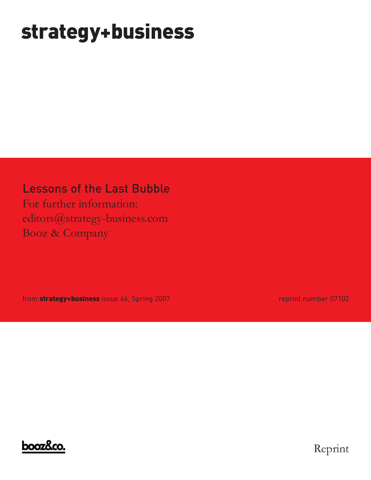# **strategy+business**

### Lessons of the Last Bubble

For further information: editors@strategy-business.com Booz & Company

from **strategy+business** issue 46, Spring 2007 **reprint number 07102** 



Reprint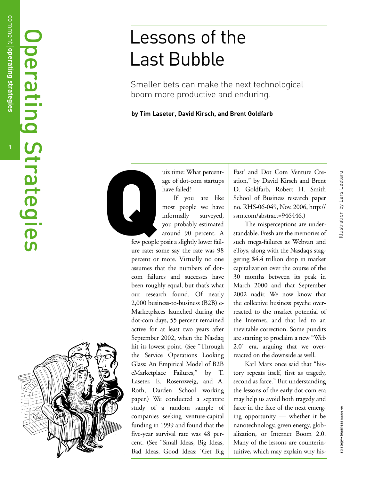## Lessons of the Last Bubble

Smaller bets can make the next technological boom more productive and enduring.

**by Tim Laseter, David Kirsch, and Brent Goldfarb**

uiz time: What percentage of dot-com startups hav e failed? **Q**

If you are like most people we have informally surveyed, you probably estimated around 90 percent. A

fe w people posit a slightly lo wer fail ure rate; some say the rate was 98 percent or more. Virtually no one assumes that the numbers of dotcom failures and successes have been roughly equal, but that's what our research found. Of nearly 2,000 business-to-business (B2B) e-Marketplaces launched during the dot-com days, 55 percent remained active for at least two years after September 2002, when the Nasdaq hit its lowest point. (See "Through the Service Operations Looking Glass: An Empirical Model of B2B eMarketplace Failures," by T. Laseter, E. Rosenzweig, and A. Roth, Darden School working paper.) We conducted a separate study of a random sample of companies seeking venture-capital funding in 1999 and found that the five-year survival rate was 48 percent. (See "Small Ideas, Big Ideas, Bad Ideas, Good Ideas: 'Get Big

Fast' and Dot Com Venture Creation," by David Kirsch and Brent D. Goldfarb , Rober t H. Smith School of Business research paper no . RHS-06-049, Nov. 2006, http:// ssrn.com/abstract=946446.)

The misperceptions are understandable. Fresh are the memories of such mega-failures as Web van and eToys, along with the Nasdaq's staggering \$4.4 trillion drop in market capitalization o ver the course of the 30 months between its peak in March 2000 and that September 2002 nadir. We now know that the collectiv e business psyche overreacted to the market potential of the Internet, and that led to an inevitable correction. Some pundits ar e starting to proclaim a ne w "Web 2.0" era, arguing that we overreacted on the downside as well.

Karl Mar x once said that "his tor y repeats itself, first as tragedy, second as farce." But understanding the lessons of the early dot-com era may help us avoid both tragedy and farce in the face of the next emerging opportunity — whether it be nanotechnology, green energy, globalization, or Internet Boom 2.0. Many of the lessons are counterintuitive, which may explain why his-



strategy+business issue 46

strategy + business issue 46

Operating

Strategies

**1**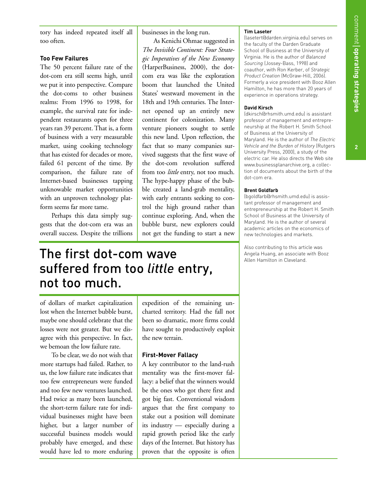com ment **o p eratin g strate gie s**

tory has indeed repeated itself all too often.

#### **Too Few Failures**

The 50 percent failure rate of the dot-com era still seems high, until we put it into perspective. Compare the dot-coms to other business realms: From 1996 to 1998, for example, the survival rate for independent restaurants open for three years ran 39 percent. That is, a form of business with a very measurable market, using cooking technology that has existed for decades or more, failed 61 percent of the time. By comparison, the failure rate of Internet-based businesses tapping unknowable market opportunities with an unproven technology platform seems far more tame.

Perhaps this data simply suggests that the dot-com era was an overall success. Despite the trillions businesses in the long run.

As Kenichi Ohmae suggested in *The Invisible Continent: Four Strategic Imperatives of the New Economy* (HarperBusiness, 2000), the dotcom era was like the exploration boom that launched the United States' westward movement in the 18th and 19th centuries. The Internet opened up an entirely new continent for colonization. Many venture pioneers sought to settle this new land. Upon reflection, the fact that so many companies survived suggests that the first wave of the dot-com revolution suffered from too *little* entry, not too much. The hype-happy phase of the bubble created a land-grab mentality, with early entrants seeking to control the high ground rather than continue exploring. And, when the bubble burst, new explorers could not get the funding to start a new

## The first dot-com wave suffered from too *little* entry, not too much.

of dollars of market capitalization lost when the Internet bubble burst, maybe one should celebrate that the losses were not greater. But we disagree with this perspective. In fact, we bemoan the low failure rate.

To be clear, we do not wish that more startups had failed. Rather, to us, the low failure rate indicates that too few entrepreneurs were funded and too few new ventures launched. Had twice as many been launched, the short-term failure rate for individual businesses might have been higher, but a larger number of successful business models would probably have emerged, and these would have led to more enduring

expedition of the remaining uncharted territory. Had the fall not been so dramatic, more firms could have sought to productively exploit the new terrain.

#### **First-Mover Fallacy**

A key contributor to the land-rush mentality was the first-mover fallacy: a belief that the winners would be the ones who got there first and got big fast. Conventional wisdom argues that the first company to stake out a position will dominate its industry — especially during a rapid growth period like the early days of the Internet. But history has proven that the opposite is often

#### **Tim Laseter**

(lasetert@darden.virginia.edu) serves on the faculty of the Darden Graduate School of Business at the University of Virginia. He is the author of *Balanced Sourcing* (Jossey-Bass, 1998) and coauthor, with Ron Kerber, of *Strategic Product Creation* (McGraw-Hill, 2006). Formerly a vice president with Booz Allen Hamilton, he has more than 20 years of experience in operations strategy.

#### **David Kirsch**

(dkirsch@rhsmith.umd.edu) is assistant professor of management and entrepreneurship at the Robert H. Smith School of Business at the University of Maryland. He is the author of *The Electric Vehicle and the Burden of History* (Rutgers University Press, 2000), a study of the electric car. He also directs the Web site www.businessplanarchive.org, a collection of documents about the birth of the dot-com era.

#### **Brent Goldfarb**

(bgoldfarb@rhsmith.umd.edu) is assistant professor of management and entrepreneurship at the Robert H. Smith School of Business at the University of Maryland. He is the author of several academic articles on the economics of new technologies and markets.

Also contributing to this article was Angela Huang, an associate with Booz Allen Hamilton in Cleveland.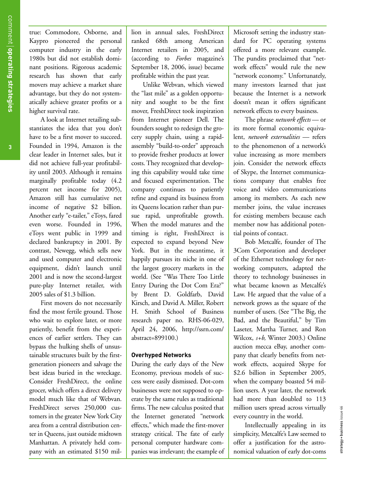true: Commodore, Osborne, and Kaypro pioneered the personal computer industry in the early 1980s but did not establish dominant positions. Rigorous academic research has shown that early movers may achieve a market share advantage, but they do not systematically achieve greater profits or a higher survival rate.

A look at Internet retailing substantiates the idea that you don't have to be a first mover to succeed. Founded in 1994, Amazon is the clear leader in Internet sales, but it did not achieve full-year profitability until 2003. Although it remains marginally profitable today (4.2 percent net income for 2005), Amazon still has cumulative net income of negative \$2 billion. Another early "e-tailer," eToys, fared even worse. Founded in 1996, eToys went public in 1999 and declared bankruptcy in 2001. By contrast, Newegg, which sells new and used computer and electronic equipment, didn't launch until 2001 and is now the second-largest pure-play Internet retailer, with 2005 sales of \$1.3 billion.

First movers do not necessarily find the most fertile ground. Those who wait to explore later, or more patiently, benefit from the experiences of earlier settlers. They can bypass the hulking shells of unsustainable structures built by the firstgeneration pioneers and salvage the best ideas buried in the wreckage. Consider FreshDirect, the online grocer, which offers a direct delivery model much like that of Webvan. FreshDirect serves 250,000 customers in the greater New York City area from a central distribution center in Queens, just outside midtown Manhattan. A privately held company with an estimated \$150 million in annual sales, FreshDirect ranked 68th among American Internet retailers in 2005, and (according to *Forbes* magazine's September 18, 2006, issue) became profitable within the past year.

Unlike Webvan, which viewed the "last mile" as a golden opportunity and sought to be the first mover, FreshDirect took inspiration from Internet pioneer Dell. The founders sought to redesign the grocery supply chain, using a rapidassembly "build-to-order" approach to provide fresher products at lower costs. They recognized that developing this capability would take time and focused experimentation. The company continues to patiently refine and expand its business from its Queens location rather than pursue rapid, unprofitable growth. When the model matures and the timing is right, FreshDirect is expected to expand beyond New York. But in the meantime, it happily pursues its niche in one of the largest grocery markets in the world. (See "Was There Too Little Entry During the Dot Com Era?" by Brent D. Goldfarb, David Kirsch, and David A. Miller, Robert H. Smith School of Business research paper no. RHS-06-029, April 24, 2006, http://ssrn.com/ abstract=899100.)

#### **Overhyped Networks**

During the early days of the New Economy, previous models of success were easily dismissed. Dot-com businesses were not supposed to operate by the same rules as traditional firms. The new calculus posited that the Internet generated "network effects," which made the first-mover strategy critical. The fate of early personal computer hardware companies was irrelevant; the example of Microsoft setting the industry standard for PC operating systems offered a more relevant example. The pundits proclaimed that "network effects" would rule the new "network economy." Unfortunately, many investors learned that just because the Internet is a network doesn't mean it offers significant network effects to every business.

The phrase *network effects* — or its more formal economic equivalent, *network externalities* — refers to the phenomenon of a network's value increasing as more members join. Consider the network effects of Skype, the Internet communications company that enables free voice and video communications among its members. As each new member joins, the value increases for existing members because each member now has additional potential points of contact.

Bob Metcalfe, founder of The 3Com Corporation and developer of the Ethernet technology for networking computers, adapted the theory to technology businesses in what became known as Metcalfe's Law. He argued that the value of a network grows as the square of the number of users. (See "The Big, the Bad, and the Beautiful," by Tim Laseter, Martha Turner, and Ron Wilcox, *s+b,* Winter 2003.) Online auction mecca eBay, another company that clearly benefits from network effects, acquired Skype for \$2.6 billion in September 2005, when the company boasted 54 million users. A year later, the network had more than doubled to 113 million users spread across virtually every country in the world.

Intellectually appealing in its simplicity, Metcalfe's Law seemed to offer a justification for the astronomical valuation of early dot-coms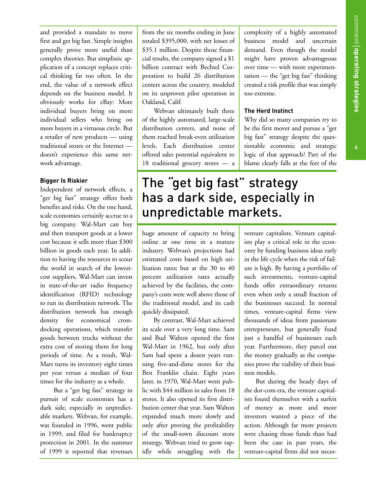and provided a mandate to move first and get big fast. Simple insights generally prove more useful than complex theories. But simplistic application of a concept replaces critical thinking far too often. In the end, the value of a network effect depends on the business model. It obviously works for eBay: More individual buyers bring on more individual sellers who bring on more buyers in a virtuous circle. But a retailer of new products — using traditional stores or the Internet doesn't experience this same network advantage.

#### **Bigger Is Riskier**

Independent of network effects, a "get big fast" strategy offers both benefits and risks. On the one hand, scale economies certainly accrue to a big company. Wal-Mart can buy and then transport goods at a lower cost because it sells more than \$300 billion in goods each year. In addition to having the resources to scour the world in search of the lowestcost suppliers, Wal-Mart can invest in state-of-the-art radio frequency identification (RFID) technology to run its distribution network. The distribution network has enough density for economical crossdocking operations, which transfer goods between trucks without the extra cost of storing them for long periods of time. As a result, Wal-Mart turns its inventory eight times per year versus a median of four times for the industry as a whole.

But a "get big fast" strategy in pursuit of scale economies has a dark side, especially in unpredictable markets. Webvan, for example, was founded in 1996, went public in 1999, and filed for bankruptcy protection in 2001. In the summer of 1999 it reported that revenues

from the six months ending in June totaled \$395,000, with net losses of \$35.1 million. Despite those financial results, the company signed a \$1 billion contract with Bechtel Corporation to build 26 distribution centers across the country, modeled on its unproven pilot operation in Oakland, Calif.

Webvan ultimately built three of the highly automated, large-scale distribution centers, and none of them reached break-even utilization levels. Each distribution center offered sales potential equivalent to 18 traditional grocery stores — a

complexity of a highly automated business model and uncertain demand. Even though the model might have proven advantageous over time — with more experimentation — the "get big fast" thinking created a risk profile that was simply too extreme.

#### **The Herd Instinct**

Why did so many companies try to be the first mover and pursue a "get big fast" strategy despite the questionable economic and strategic logic of that approach? Part of the blame clearly falls at the feet of the

## The "get big fast" strategy has a dark side, especially in unpredictable markets.

huge amount of capacity to bring online at one time in a mature industry. Webvan's projections had estimated costs based on high utilization rates; but at the 30 to 40 percent utilization rates actually achieved by the facilities, the company's costs were well above those of the traditional model, and its cash quickly dissipated.

By contrast, Wal-Mart achieved its scale over a very long time. Sam and Bud Walton opened the first Wal-Mart in 1962, but only after Sam had spent a dozen years running five-and-dime stores for the Ben Franklin chain. Eight years later, in 1970, Wal-Mart went public with \$44 million in sales from 18 stores. It also opened its first distribution center that year. Sam Walton expanded much more slowly and only after proving the profitability of the small-town discount store strategy. Webvan tried to grow rapidly while struggling with the

venture capitalists. Venture capitalists play a critical role in the economy by funding business ideas early in the life cycle when the risk of failure is high. By having a portfolio of such investments, venture-capital funds offer extraordinary returns even when only a small fraction of the businesses succeed. In normal times, venture-capital firms view thousands of ideas from passionate entrepreneurs, but generally fund just a handful of businesses each year. Furthermore, they parcel out the money gradually as the companies prove the viability of their business models.

But during the heady days of the dot-com era, the venture capitalists found themselves with a surfeit of money as more and more investors wanted a piece of the action. Although far more projects were chasing those funds than had been the case in past years, the venture-capital firms did not neces-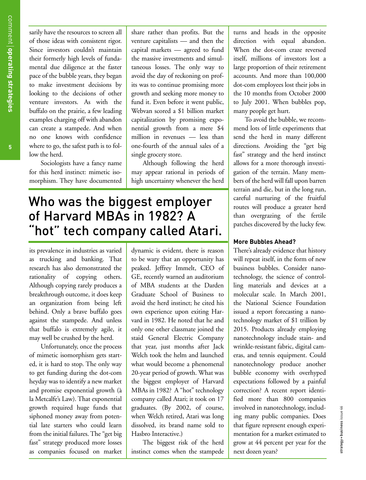sarily have the resources to screen all of those ideas with consistent rigor. Since investors couldn't maintain their formerly high levels of fundamental due diligence at the faster pace of the bubble years, they began to make investment decisions by looking to the decisions of other venture investors. As with the buffalo on the prairie, a few leading examples charging off with abandon can create a stampede. And when no one knows with confidence where to go, the safest path is to follow the herd.

Sociologists have a fancy name for this herd instinct: mimetic isomorphism. They have documented

share rather than profits. But the venture capitalists — and then the capital markets — agreed to fund the massive investments and simultaneous losses. The only way to avoid the day of reckoning on profits was to continue promising more growth and seeking more money to fund it. Even before it went public, Webvan scored a \$1 billion market capitalization by promising exponential growth from a mere \$4 million in revenues — less than one-fourth of the annual sales of a single grocery store.

Although following the herd may appear rational in periods of high uncertainty whenever the herd

## Who was the biggest employer of Harvard MBAs in 1982? A "hot" tech company called Atari.

its prevalence in industries as varied as trucking and banking. That research has also demonstrated the rationality of copying others. Although copying rarely produces a breakthrough outcome, it does keep an organization from being left behind. Only a brave buffalo goes against the stampede. And unless that buffalo is extremely agile, it may well be crushed by the herd.

Unfortunately, once the process of mimetic isomorphism gets started, it is hard to stop. The only way to get funding during the dot-com heyday was to identify a new market and promise exponential growth (à la Metcalfe's Law). That exponential growth required huge funds that siphoned money away from potential late starters who could learn from the initial failures. The "get big fast" strategy produced more losses as companies focused on market

dynamic is evident, there is reason to be wary that an opportunity has peaked. Jeffrey Immelt, CEO of GE, recently warned an auditorium of MBA students at the Darden Graduate School of Business to avoid the herd instinct; he cited his own experience upon exiting Harvard in 1982. He noted that he and only one other classmate joined the staid General Electric Company that year, just months after Jack Welch took the helm and launched what would become a phenomenal 20-year period of growth. What was the biggest employer of Harvard MBAs in 1982? A "hot" technology company called Atari; it took on 17 graduates. (By 2002, of course, when Welch retired, Atari was long dissolved, its brand name sold to Hasbro Interactive.)

The biggest risk of the herd instinct comes when the stampede turns and heads in the opposite direction with equal abandon. When the dot-com craze reversed itself, millions of investors lost a large proportion of their retirement accounts. And more than 100,000 dot-com employees lost their jobs in the 10 months from October 2000 to July 2001. When bubbles pop, many people get hurt.

To avoid the bubble, we recommend lots of little experiments that send the herd in many different directions. Avoiding the "get big fast" strategy and the herd instinct allows for a more thorough investigation of the terrain. Many members of the herd will fall upon barren terrain and die, but in the long run, careful nurturing of the fruitful routes will produce a greater herd than overgrazing of the fertile patches discovered by the lucky few.

#### **More Bubbles Ahead?**

There's already evidence that history will repeat itself, in the form of new business bubbles. Consider nanotechnology, the science of controlling materials and devices at a molecular scale. In March 2001, the National Science Foundation issued a report forecasting a nanotechnology market of \$1 trillion by 2015. Products already employing nanotechnology include stain- and wrinkle-resistant fabric, digital cameras, and tennis equipment. Could nanotechnology produce another bubble economy with overhyped expectations followed by a painful correction? A recent report identified more than 800 companies involved in nanotechnology, including many public companies. Does that figure represent enough experimentation for a market estimated to grow at 44 percent per year for the next dozen years?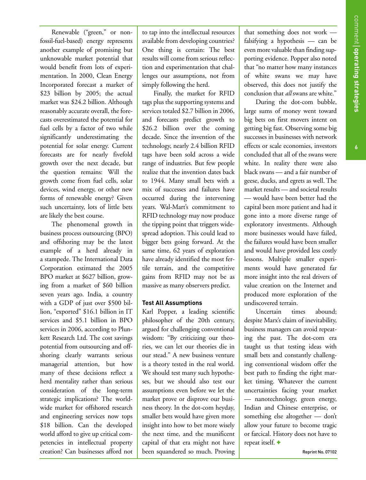Renewable ("green," or nonfossil-fuel-based) energy represents another example of promising but unknowable market potential that would benefit from lots of experimentation. In 2000, Clean Energy Incorporated forecast a market of \$23 billion by 2005; the actual market was \$24.2 billion. Although reasonably accurate overall, the forecasts overestimated the potential for fuel cells by a factor of two while significantly underestimating the potential for solar energy. Current forecasts are for nearly fivefold growth over the next decade, but the question remains: Will the growth come from fuel cells, solar devices, wind energy, or other new forms of renewable energy? Given such uncertainty, lots of little bets are likely the best course.

The phenomenal growth in business process outsourcing (BPO) and offshoring may be the latest example of a herd already in a stampede. The International Data Corporation estimated the 2005 BPO market at \$627 billion, growing from a market of \$60 billion seven years ago. India, a country with a GDP of just over \$500 billion, "exported" \$16.1 billion in IT services and \$5.1 billion in BPO services in 2006, according to Plunkett Research Ltd. The cost savings potential from outsourcing and offshoring clearly warrants serious managerial attention, but how many of these decisions reflect a herd mentality rather than serious consideration of the long-term strategic implications? The worldwide market for offshored research and engineering services now tops \$18 billion. Can the developed world afford to give up critical competencies in intellectual property creation? Can businesses afford not to tap into the intellectual resources available from developing countries? One thing is certain: The best results will come from serious reflection and experimentation that challenges our assumptions, not from simply following the herd.

Finally, the market for RFID tags plus the supporting systems and services totaled \$2.7 billion in 2006, and forecasts predict growth to \$26.2 billion over the coming decade. Since the invention of the technology, nearly 2.4 billion RFID tags have been sold across a wide range of industries. But few people realize that the invention dates back to 1944. Many small bets with a mix of successes and failures have occurred during the intervening years. Wal-Mart's commitment to RFID technology may now produce the tipping point that triggers widespread adoption. This could lead to bigger bets going forward. At the same time, 62 years of exploration have already identified the most fertile terrain, and the competitive gains from RFID may not be as massive as many observers predict.

#### **Test All Assumptions**

Karl Popper, a leading scientific philosopher of the 20th century, argued for challenging conventional wisdom: "By criticizing our theories, we can let our theories die in our stead." A new business venture is a theory tested in the real world. We should test many such hypotheses, but we should also test our assumptions even before we let the market prove or disprove our business theory. In the dot-com heyday, smaller bets would have given more insight into how to bet more wisely the next time, and the munificent capital of that era might not have been squandered so much. Proving

that something does not work falsifying a hypothesis — can be even more valuable than finding supporting evidence. Popper also noted that "no matter how many instances of white swans we may have observed, this does not justify the conclusion that *all* swans are white."

During the dot-com bubble, large sums of money went toward big bets on first movers intent on getting big fast. Observing some big successes in businesses with network effects or scale economies, investors concluded that all of the swans were white. In reality there were also black swans — and a fair number of geese, ducks, and egrets as well. The market results — and societal results — would have been better had the capital been more patient and had it gone into a more diverse range of exploratory investments. Although more businesses would have failed, the failures would have been smaller and would have provided less costly lessons. Multiple smaller experiments would have generated far more insight into the real drivers of value creation on the Internet and produced more exploration of the undiscovered terrain.

Uncertain times abound; despite Marx's claim of inevitability, business managers can avoid repeating the past. The dot-com era taught us that testing ideas with small bets and constantly challenging conventional wisdom offer the best path to finding the right market timing. Whatever the current uncertainties facing your market — nanotechnology, green energy, Indian and Chinese enterprise, or something else altogether — don't allow your future to become tragic or farcical. History does not have to repeat itself. **+**